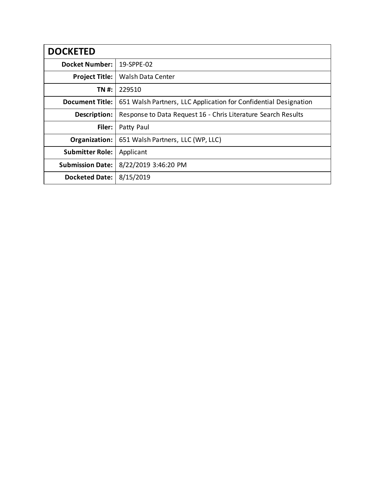| <b>DOCKETED</b>         |                                                                  |
|-------------------------|------------------------------------------------------------------|
| <b>Docket Number:</b>   | 19-SPPE-02                                                       |
| <b>Project Title:</b>   | Walsh Data Center                                                |
| TN #:                   | 229510                                                           |
| <b>Document Title:</b>  | 651 Walsh Partners, LLC Application for Confidential Designation |
| Description:            | Response to Data Request 16 - Chris Literature Search Results    |
| Filer:                  | Patty Paul                                                       |
| Organization:           | 651 Walsh Partners, LLC (WP, LLC)                                |
| <b>Submitter Role:</b>  | Applicant                                                        |
| <b>Submission Date:</b> | 8/22/2019 3:46:20 PM                                             |
| <b>Docketed Date:</b>   | 8/15/2019                                                        |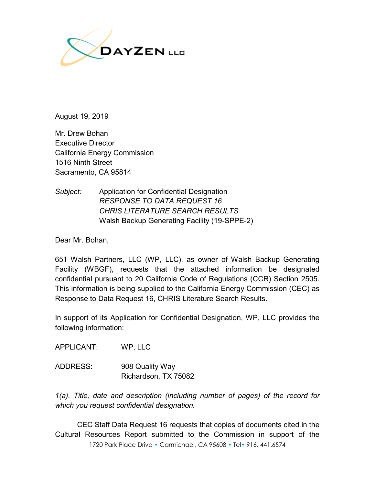

August 19, 2019

Mr. Drew Bohan Executive Director California Energy Commission 1516 Ninth Street Sacramento, CA 95814

*Subject:* Application for Confidential Designation *RESPONSE TO DATA REQUEST 16 CHRIS LITERATURE SEARCH RESULTS* Walsh Backup Generating Facility (19-SPPE-2)

Dear Mr. Bohan,

651 Walsh Partners, LLC (WP, LLC), as owner of Walsh Backup Generating Facility (WBGF), requests that the attached information be designated confidential pursuant to 20 California Code of Regulations (CCR) Section 2505. This information is being supplied to the California Energy Commission (CEC) as Response to Data Request 16, CHRIS Literature Search Results.

In support of its Application for Confidential Designation, WP, LLC provides the following information:

APPLICANT: WP, LLC

ADDRESS: 908 Quality Way Richardson, TX 75082

*1(a). Title, date and description (including number of pages) of the record for which you request confidential designation.*

1720 Park Place Drive • Carmichael, CA 95608 • Tel• 916. 441.6574 CEC Staff Data Request 16 requests that copies of documents cited in the Cultural Resources Report submitted to the Commission in support of the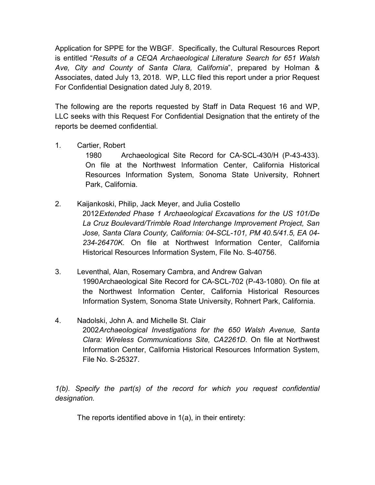Application for SPPE for the WBGF. Specifically, the Cultural Resources Report is entitled "*Results of a CEQA Archaeological Literature Search for 651 Walsh Ave, City and County of Santa Clara, California*", prepared by Holman & Associates, dated July 13, 2018. WP, LLC filed this report under a prior Request For Confidential Designation dated July 8, 2019.

The following are the reports requested by Staff in Data Request 16 and WP, LLC seeks with this Request For Confidential Designation that the entirety of the reports be deemed confidential.

1. Cartier, Robert

1980 Archaeological Site Record for CA-SCL-430/H (P-43-433). On file at the Northwest Information Center, California Historical Resources Information System, Sonoma State University, Rohnert Park, California.

2. Kaijankoski, Philip, Jack Meyer, and Julia Costello

2012*Extended Phase 1 Archaeological Excavations for the US 101/De La Cruz Boulevard/Trimble Road Interchange Improvement Project, San Jose, Santa Clara County, California: 04-SCL-101, PM 40.5/41.5, EA 04- 234-26470K*. On file at Northwest Information Center, California Historical Resources Information System, File No. S-40756.

- 3. Leventhal, Alan, Rosemary Cambra, and Andrew Galvan 1990Archaeological Site Record for CA-SCL-702 (P-43-1080). On file at the Northwest Information Center, California Historical Resources Information System, Sonoma State University, Rohnert Park, California.
- 4. Nadolski, John A. and Michelle St. Clair 2002*Archaeological Investigations for the 650 Walsh Avenue, Santa Clara: Wireless Communications Site, CA2261D*. On file at Northwest Information Center, California Historical Resources Information System, File No. S-25327.

*1(b). Specify the part(s) of the record for which you request confidential designation.*

The reports identified above in 1(a), in their entirety: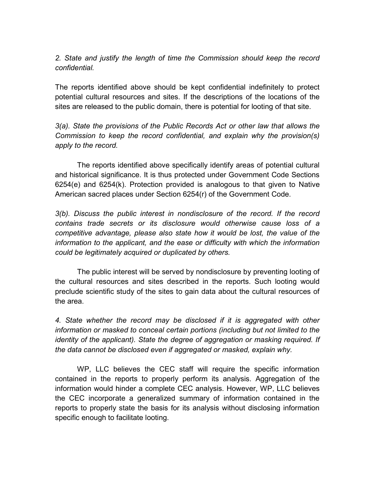*2. State and justify the length of time the Commission should keep the record confidential.*

The reports identified above should be kept confidential indefinitely to protect potential cultural resources and sites. If the descriptions of the locations of the sites are released to the public domain, there is potential for looting of that site.

*3(a). State the provisions of the Public Records Act or other law that allows the Commission to keep the record confidential, and explain why the provision(s) apply to the record.*

The reports identified above specifically identify areas of potential cultural and historical significance. It is thus protected under Government Code Sections 6254(e) and 6254(k). Protection provided is analogous to that given to Native American sacred places under Section 6254(r) of the Government Code.

*3(b). Discuss the public interest in nondisclosure of the record. If the record contains trade secrets or its disclosure would otherwise cause loss of a competitive advantage, please also state how it would be lost, the value of the information to the applicant, and the ease or difficulty with which the information could be legitimately acquired or duplicated by others.*

The public interest will be served by nondisclosure by preventing looting of the cultural resources and sites described in the reports. Such looting would preclude scientific study of the sites to gain data about the cultural resources of the area.

*4. State whether the record may be disclosed if it is aggregated with other information or masked to conceal certain portions (including but not limited to the identity of the applicant). State the degree of aggregation or masking required. If the data cannot be disclosed even if aggregated or masked, explain why.*

WP, LLC believes the CEC staff will require the specific information contained in the reports to properly perform its analysis. Aggregation of the information would hinder a complete CEC analysis. However, WP, LLC believes the CEC incorporate a generalized summary of information contained in the reports to properly state the basis for its analysis without disclosing information specific enough to facilitate looting.